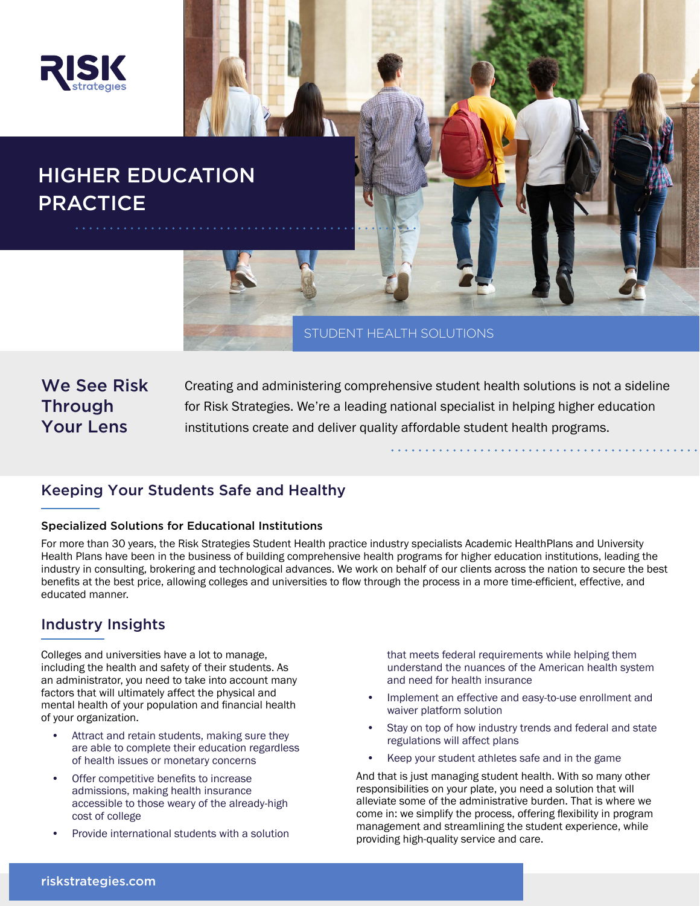

# HIGHER EDUCATION **PRACTICE**

STUDENT HEALTH SOLUTIONS

We See Risk **Through** Your Lens

Creating and administering comprehensive student health solutions is not a sideline for Risk Strategies. We're a leading national specialist in helping higher education institutions create and deliver quality affordable student health programs.

# Keeping Your Students Safe and Healthy

### Specialized Solutions for Educational Institutions

For more than 30 years, the Risk Strategies Student Health practice industry specialists Academic HealthPlans and University Health Plans have been in the business of building comprehensive health programs for higher education institutions, leading the industry in consulting, brokering and technological advances. We work on behalf of our clients across the nation to secure the best benefits at the best price, allowing colleges and universities to flow through the process in a more time-efficient, effective, and educated manner.

## Industry Insights

Colleges and universities have a lot to manage, including the health and safety of their students. As an administrator, you need to take into account many factors that will ultimately affect the physical and mental health of your population and financial health of your organization.

- Attract and retain students, making sure they are able to complete their education regardless of health issues or monetary concerns
- Offer competitive benefits to increase admissions, making health insurance accessible to those weary of the already-high cost of college
- Provide international students with a solution

that meets federal requirements while helping them understand the nuances of the American health system and need for health insurance

- Implement an effective and easy-to-use enrollment and waiver platform solution
- Stay on top of how industry trends and federal and state regulations will affect plans
- Keep your student athletes safe and in the game

And that is just managing student health. With so many other responsibilities on your plate, you need a solution that will alleviate some of the administrative burden. That is where we come in: we simplify the process, offering flexibility in program management and streamlining the student experience, while providing high-quality service and care.